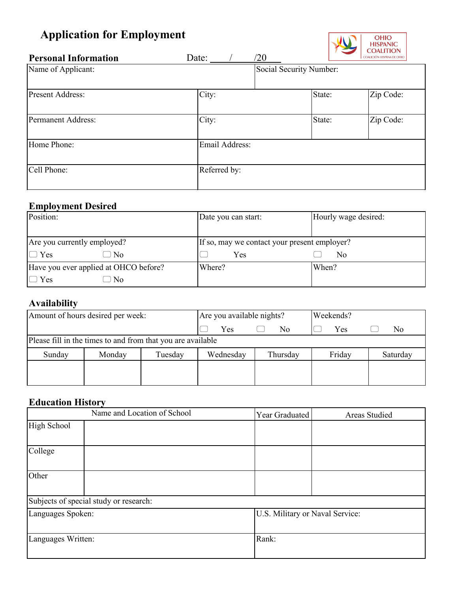# **Application for Employment**



| <b>Personal Information</b> | $\sqrt{20}$<br>Date: |                         | COALICIÓN HISPANA DE OHIO |
|-----------------------------|----------------------|-------------------------|---------------------------|
| Name of Applicant:          |                      | Social Security Number: |                           |
| <b>Present Address:</b>     | City:                | State:                  | Zip Code:                 |
| Permanent Address:          | City:                | State:                  | Zip Code:                 |
| Home Phone:                 | Email Address:       |                         |                           |
| Cell Phone:                 | Referred by:         |                         |                           |

## **Employment Desired**

| Position:                             | Date you can start:                          | Hourly wage desired: |
|---------------------------------------|----------------------------------------------|----------------------|
|                                       |                                              |                      |
| Are you currently employed?           | If so, may we contact your present employer? |                      |
| $\Box$ Yes<br>) No                    | Yes                                          | No                   |
| Have you ever applied at OHCO before? | Where?                                       | When?                |
| $\Box$ Yes<br>N <sub>0</sub>          |                                              |                      |

## **Availability**

| Amount of hours desired per week:                           |        | Are you available nights? |           | Weekends? |        |          |
|-------------------------------------------------------------|--------|---------------------------|-----------|-----------|--------|----------|
|                                                             |        | Yes                       | No        | Yes       | No     |          |
| Please fill in the times to and from that you are available |        |                           |           |           |        |          |
| Sunday                                                      | Monday | Tuesday                   | Wednesday | Thursday  | Friday | Saturday |
|                                                             |        |                           |           |           |        |          |
|                                                             |        |                           |           |           |        |          |

## **Education History**

|                    | Name and Location of School            | Year Graduated                  | <b>Areas Studied</b> |
|--------------------|----------------------------------------|---------------------------------|----------------------|
| High School        |                                        |                                 |                      |
| College            |                                        |                                 |                      |
| Other              |                                        |                                 |                      |
|                    | Subjects of special study or research: |                                 |                      |
| Languages Spoken:  |                                        | U.S. Military or Naval Service: |                      |
| Languages Written: |                                        | Rank:                           |                      |